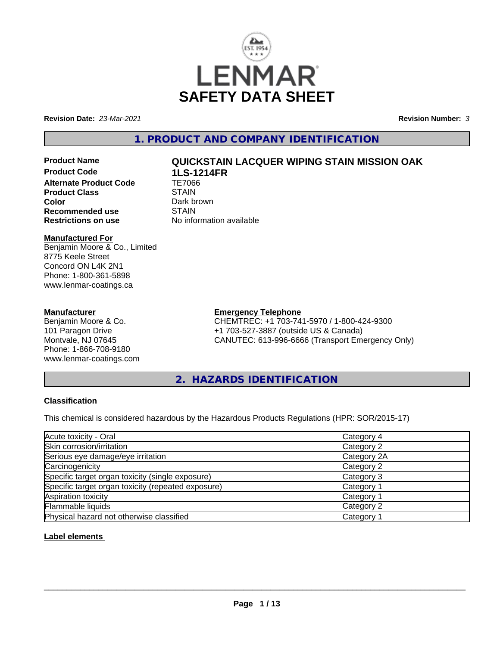

**Revision Date:** *23-Mar-2021* **Revision Number:** *3*

# **1. PRODUCT AND COMPANY IDENTIFICATION**

**Product Code 1LS-1214FR Alternate Product Code TE7066**<br>Product Class STAIN **Product Class Color** Dark brown<br> **Recommended use** STAIN **Recommended use**<br>Restrictions on use

# **Product Name QUICKSTAIN LACQUER WIPING STAIN MISSION OAK**

**No information available** 

### **Manufactured For**

Benjamin Moore & Co., Limited 8775 Keele Street Concord ON L4K 2N1 Phone: 1-800-361-5898 www.lenmar-coatings.ca

### **Manufacturer**

Benjamin Moore & Co. 101 Paragon Drive Montvale, NJ 07645 Phone: 1-866-708-9180 www.lenmar-coatings.com

# **Emergency Telephone**

CHEMTREC: +1 703-741-5970 / 1-800-424-9300 +1 703-527-3887 (outside US & Canada) CANUTEC: 613-996-6666 (Transport Emergency Only)

**2. HAZARDS IDENTIFICATION**

## **Classification**

This chemical is considered hazardous by the Hazardous Products Regulations (HPR: SOR/2015-17)

| Acute toxicity - Oral                              | Category 4            |  |
|----------------------------------------------------|-----------------------|--|
| Skin corrosion/irritation                          | Category 2            |  |
| Serious eye damage/eye irritation                  | Category 2A           |  |
| Carcinogenicity                                    | Category 2            |  |
| Specific target organ toxicity (single exposure)   | Category 3            |  |
| Specific target organ toxicity (repeated exposure) | Category 1            |  |
| Aspiration toxicity                                | Category '            |  |
| Flammable liquids                                  | Category 2            |  |
| Physical hazard not otherwise classified           | Category <sup>2</sup> |  |

## **Label elements**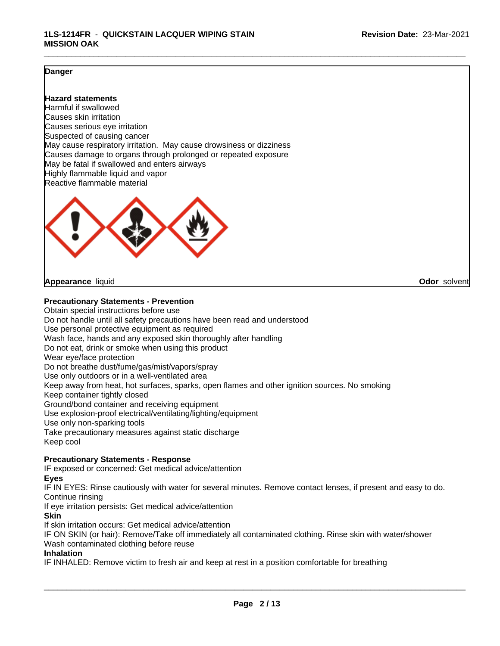### **Danger**

### **Hazard statements**

Harmful if swallowed Causes skin irritation Causes serious eye irritation Suspected of causing cancer May cause respiratory irritation. May cause drowsiness or dizziness Causes damage to organs through prolonged or repeated exposure May be fatal if swallowed and enters airways Highly flammable liquid and vapor Reactive flammable material



#### **Appearance** liquid **Odor** solvent

**Precautionary Statements - Prevention**

Obtain special instructions before use Do not handle until all safety precautions have been read and understood Use personal protective equipment as required Wash face, hands and any exposed skin thoroughly after handling Do not eat, drink or smoke when using this product Wear eye/face protection Do not breathe dust/fume/gas/mist/vapors/spray Use only outdoors or in a well-ventilated area Keep away from heat, hot surfaces, sparks, open flames and other ignition sources. No smoking Keep container tightly closed Ground/bond container and receiving equipment Use explosion-proof electrical/ventilating/lighting/equipment Use only non-sparking tools Take precautionary measures against static discharge Keep cool **Precautionary Statements - Response**

IF exposed or concerned: Get medical advice/attention

**Eyes**

IF IN EYES: Rinse cautiously with water for several minutes. Remove contact lenses, if present and easy to do. Continue rinsing

If eye irritation persists: Get medical advice/attention

**Skin**

If skin irritation occurs: Get medical advice/attention

IF ON SKIN (or hair): Remove/Take off immediately all contaminated clothing. Rinse skin with water/shower Wash contaminated clothing before reuse

#### **Inhalation**

IF INHALED: Remove victim to fresh air and keep at rest in a position comfortable for breathing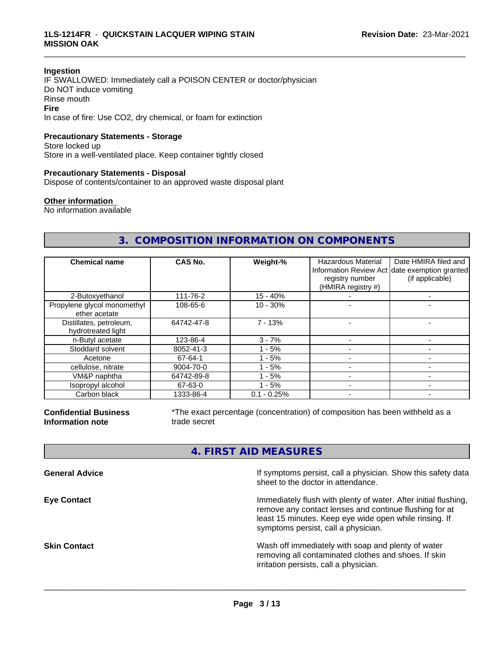#### **Ingestion**

IF SWALLOWED: Immediately call a POISON CENTER or doctor/physician Do NOT induce vomiting Rinse mouth **Fire** In case of fire: Use CO2, dry chemical, or foam for extinction

# **Precautionary Statements - Storage**

Store locked up Store in a well-ventilated place. Keep container tightly closed

#### **Precautionary Statements - Disposal**

Dispose of contents/container to an approved waste disposal plant

#### **Other information**

No information available

# **3. COMPOSITION INFORMATION ON COMPONENTS**

\_\_\_\_\_\_\_\_\_\_\_\_\_\_\_\_\_\_\_\_\_\_\_\_\_\_\_\_\_\_\_\_\_\_\_\_\_\_\_\_\_\_\_\_\_\_\_\_\_\_\_\_\_\_\_\_\_\_\_\_\_\_\_\_\_\_\_\_\_\_\_\_\_\_\_\_\_\_\_\_\_\_\_\_\_\_\_\_\_\_\_\_\_

| <b>Chemical name</b>                          | CAS No.    | Weight-%      | <b>Hazardous Material</b><br>registry number<br>(HMIRA registry #) | Date HMIRA filed and<br>Information Review Act date exemption granted<br>(if applicable) |
|-----------------------------------------------|------------|---------------|--------------------------------------------------------------------|------------------------------------------------------------------------------------------|
| 2-Butoxyethanol                               | 111-76-2   | $15 - 40%$    |                                                                    |                                                                                          |
| Propylene glycol monomethyl<br>ether acetate  | 108-65-6   | $10 - 30%$    |                                                                    |                                                                                          |
| Distillates, petroleum,<br>hydrotreated light | 64742-47-8 | $7 - 13%$     |                                                                    |                                                                                          |
| n-Butyl acetate                               | 123-86-4   | $3 - 7%$      |                                                                    |                                                                                          |
| Stoddard solvent                              | 8052-41-3  | - 5%          |                                                                    |                                                                                          |
| Acetone                                       | 67-64-1    | $1 - 5%$      |                                                                    |                                                                                          |
| cellulose, nitrate                            | 9004-70-0  | $1 - 5%$      |                                                                    |                                                                                          |
| VM&P naphtha                                  | 64742-89-8 | $-5%$         |                                                                    |                                                                                          |
| Isopropyl alcohol                             | 67-63-0    | $1 - 5%$      |                                                                    |                                                                                          |
| Carbon black                                  | 1333-86-4  | $0.1 - 0.25%$ |                                                                    |                                                                                          |

**Confidential Business Information note**

\*The exact percentage (concentration) of composition has been withheld as a trade secret

# **4. FIRST AID MEASURES**

| <b>General Advice</b> | If symptoms persist, call a physician. Show this safety data<br>sheet to the doctor in attendance.                                                                                                                         |
|-----------------------|----------------------------------------------------------------------------------------------------------------------------------------------------------------------------------------------------------------------------|
| <b>Eye Contact</b>    | Immediately flush with plenty of water. After initial flushing,<br>remove any contact lenses and continue flushing for at<br>least 15 minutes. Keep eye wide open while rinsing. If<br>symptoms persist, call a physician. |
| Skin Contact          | Wash off immediately with soap and plenty of water<br>removing all contaminated clothes and shoes. If skin<br>irritation persists, call a physician.                                                                       |
|                       |                                                                                                                                                                                                                            |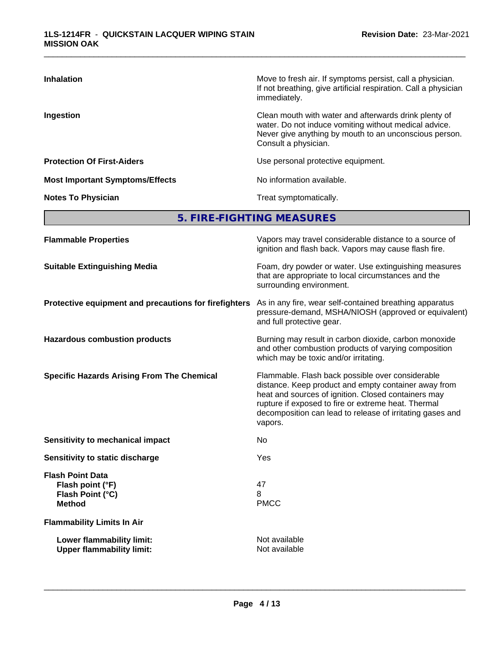| <b>Inhalation</b>                      | Move to fresh air. If symptoms persist, call a physician.<br>If not breathing, give artificial respiration. Call a physician<br>immediately.                                                     |
|----------------------------------------|--------------------------------------------------------------------------------------------------------------------------------------------------------------------------------------------------|
| Ingestion                              | Clean mouth with water and afterwards drink plenty of<br>water. Do not induce vomiting without medical advice.<br>Never give anything by mouth to an unconscious person.<br>Consult a physician. |
| <b>Protection Of First-Aiders</b>      | Use personal protective equipment.                                                                                                                                                               |
| <b>Most Important Symptoms/Effects</b> | No information available.                                                                                                                                                                        |
| <b>Notes To Physician</b>              | Treat symptomatically.                                                                                                                                                                           |

**5. FIRE-FIGHTING MEASURES**

| <b>Flammable Properties</b>                                                      | Vapors may travel considerable distance to a source of<br>ignition and flash back. Vapors may cause flash fire.                                                                                                                                                                                |
|----------------------------------------------------------------------------------|------------------------------------------------------------------------------------------------------------------------------------------------------------------------------------------------------------------------------------------------------------------------------------------------|
| <b>Suitable Extinguishing Media</b>                                              | Foam, dry powder or water. Use extinguishing measures<br>that are appropriate to local circumstances and the<br>surrounding environment.                                                                                                                                                       |
| Protective equipment and precautions for firefighters                            | As in any fire, wear self-contained breathing apparatus<br>pressure-demand, MSHA/NIOSH (approved or equivalent)<br>and full protective gear.                                                                                                                                                   |
| <b>Hazardous combustion products</b>                                             | Burning may result in carbon dioxide, carbon monoxide<br>and other combustion products of varying composition<br>which may be toxic and/or irritating.                                                                                                                                         |
| <b>Specific Hazards Arising From The Chemical</b>                                | Flammable. Flash back possible over considerable<br>distance. Keep product and empty container away from<br>heat and sources of ignition. Closed containers may<br>rupture if exposed to fire or extreme heat. Thermal<br>decomposition can lead to release of irritating gases and<br>vapors. |
| Sensitivity to mechanical impact                                                 | No                                                                                                                                                                                                                                                                                             |
| Sensitivity to static discharge                                                  | Yes                                                                                                                                                                                                                                                                                            |
| <b>Flash Point Data</b><br>Flash point (°F)<br>Flash Point (°C)<br><b>Method</b> | 47<br>8<br><b>PMCC</b>                                                                                                                                                                                                                                                                         |
| <b>Flammability Limits In Air</b>                                                |                                                                                                                                                                                                                                                                                                |
| Lower flammability limit:<br><b>Upper flammability limit:</b>                    | Not available<br>Not available                                                                                                                                                                                                                                                                 |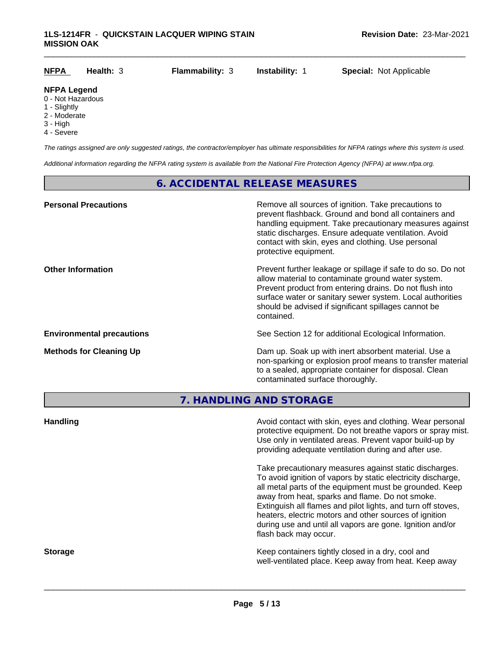| <b>NFPA</b>                                                                                 | Health: $3$ | <b>Flammability: 3</b> | <b>Instability: 1</b> | <b>Special: Not Applicable</b> |
|---------------------------------------------------------------------------------------------|-------------|------------------------|-----------------------|--------------------------------|
| <b>NFPA Legend</b>                                                                          |             |                        |                       |                                |
| 0 - Not Hazardous<br>1 - Slightly<br>$\bigcap$ M <sub>2</sub> $\bigcup$ $\bigcup$ $\bigcup$ |             |                        |                       |                                |

- 2 Moderate
- 3 High
- 4 Severe

*The ratings assigned are only suggested ratings, the contractor/employer has ultimate responsibilities for NFPA ratings where this system is used.*

*Additional information regarding the NFPA rating system is available from the National Fire Protection Agency (NFPA) at www.nfpa.org.*

# **6. ACCIDENTAL RELEASE MEASURES**

| <b>Personal Precautions</b>      | Remove all sources of ignition. Take precautions to<br>prevent flashback. Ground and bond all containers and<br>handling equipment. Take precautionary measures against<br>static discharges. Ensure adequate ventilation. Avoid<br>contact with skin, eyes and clothing. Use personal<br>protective equipment.  |
|----------------------------------|------------------------------------------------------------------------------------------------------------------------------------------------------------------------------------------------------------------------------------------------------------------------------------------------------------------|
| <b>Other Information</b>         | Prevent further leakage or spillage if safe to do so. Do not<br>allow material to contaminate ground water system.<br>Prevent product from entering drains. Do not flush into<br>surface water or sanitary sewer system. Local authorities<br>should be advised if significant spillages cannot be<br>contained. |
| <b>Environmental precautions</b> | See Section 12 for additional Ecological Information.                                                                                                                                                                                                                                                            |
| <b>Methods for Cleaning Up</b>   | Dam up. Soak up with inert absorbent material. Use a<br>non-sparking or explosion proof means to transfer material<br>to a sealed, appropriate container for disposal. Clean<br>contaminated surface thoroughly.                                                                                                 |

**7. HANDLING AND STORAGE**

| <b>Handling</b> | Avoid contact with skin, eyes and clothing. Wear personal<br>protective equipment. Do not breathe vapors or spray mist.<br>Use only in ventilated areas. Prevent vapor build-up by<br>providing adequate ventilation during and after use.                                                                                                                                                                                                           |
|-----------------|------------------------------------------------------------------------------------------------------------------------------------------------------------------------------------------------------------------------------------------------------------------------------------------------------------------------------------------------------------------------------------------------------------------------------------------------------|
|                 | Take precautionary measures against static discharges.<br>To avoid ignition of vapors by static electricity discharge,<br>all metal parts of the equipment must be grounded. Keep<br>away from heat, sparks and flame. Do not smoke.<br>Extinguish all flames and pilot lights, and turn off stoves,<br>heaters, electric motors and other sources of ignition<br>during use and until all vapors are gone. Ignition and/or<br>flash back may occur. |
| <b>Storage</b>  | Keep containers tightly closed in a dry, cool and<br>well-ventilated place. Keep away from heat. Keep away                                                                                                                                                                                                                                                                                                                                           |
|                 |                                                                                                                                                                                                                                                                                                                                                                                                                                                      |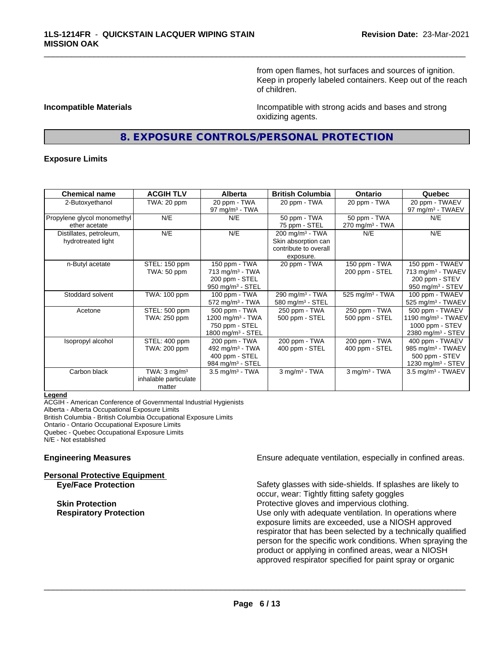from open flames, hot surfaces and sources of ignition. Keep in properly labeled containers. Keep out of the reach of children.

**Incompatible Materials Incompatible with strong acids and bases and strong** oxidizing agents.

# **8. EXPOSURE CONTROLS/PERSONAL PROTECTION**

\_\_\_\_\_\_\_\_\_\_\_\_\_\_\_\_\_\_\_\_\_\_\_\_\_\_\_\_\_\_\_\_\_\_\_\_\_\_\_\_\_\_\_\_\_\_\_\_\_\_\_\_\_\_\_\_\_\_\_\_\_\_\_\_\_\_\_\_\_\_\_\_\_\_\_\_\_\_\_\_\_\_\_\_\_\_\_\_\_\_\_\_\_

#### **Exposure Limits**

| <b>Chemical name</b>        | <b>ACGIH TLV</b>        | <b>Alberta</b>                | <b>British Columbia</b>       | <b>Ontario</b>                | Quebec                          |
|-----------------------------|-------------------------|-------------------------------|-------------------------------|-------------------------------|---------------------------------|
| 2-Butoxyethanol             | TWA: 20 ppm             | 20 ppm - TWA                  | 20 ppm - TWA                  | 20 ppm - TWA                  | 20 ppm - TWAEV                  |
|                             |                         | $97 \text{ mg/m}^3$ - TWA     |                               |                               | 97 mg/m $3$ - TWAEV             |
| Propylene glycol monomethyl | N/E                     | N/E                           | 50 ppm - TWA                  | 50 ppm - TWA                  | N/E                             |
| ether acetate               |                         |                               | 75 ppm - STEL                 | $270$ mg/m <sup>3</sup> - TWA |                                 |
| Distillates, petroleum,     | N/E                     | N/E                           | $200$ mg/m <sup>3</sup> - TWA | N/E                           | N/E                             |
| hydrotreated light          |                         |                               | Skin absorption can           |                               |                                 |
|                             |                         |                               | contribute to overall         |                               |                                 |
|                             |                         |                               | exposure.                     |                               |                                 |
| n-Butyl acetate             | STEL: 150 ppm           | 150 ppm - TWA                 | 20 ppm - TWA                  | 150 ppm - TWA                 | 150 ppm - TWAEV                 |
|                             | TWA: 50 ppm             | $713$ mg/m <sup>3</sup> - TWA |                               | 200 ppm - STEL                | 713 mg/m <sup>3</sup> - TWAEV   |
|                             |                         | 200 ppm - STEL                |                               |                               | 200 ppm - STEV                  |
|                             |                         | 950 mg/m $3 -$ STEL           |                               |                               | 950 mg/m $3 -$ STEV             |
| Stoddard solvent            | TWA: 100 ppm            | 100 ppm - TWA                 | 290 mg/m <sup>3</sup> - TWA   | 525 mg/m <sup>3</sup> - TWA   | 100 ppm - TWAEV                 |
|                             |                         | $572$ mg/m <sup>3</sup> - TWA | 580 mg/m $3 -$ STEL           |                               | $525$ mg/m <sup>3</sup> - TWAEV |
| Acetone                     | STEL: 500 ppm           | 500 ppm - TWA                 | 250 ppm - TWA                 | 250 ppm - TWA                 | 500 ppm - TWAEV                 |
|                             | TWA: 250 ppm            | 1200 mg/m <sup>3</sup> - TWA  | 500 ppm - STEL                | 500 ppm - STEL                | 1190 mg/m $3$ - TWAEV           |
|                             |                         | 750 ppm - STEL                |                               |                               | 1000 ppm - STEV                 |
|                             |                         | 1800 mg/m <sup>3</sup> - STEL |                               |                               | 2380 mg/m <sup>3</sup> - STEV   |
| Isopropyl alcohol           | STEL: 400 ppm           | 200 ppm - TWA                 | 200 ppm - TWA                 | 200 ppm - TWA                 | 400 ppm - TWAEV                 |
|                             | TWA: 200 ppm            | 492 mg/m <sup>3</sup> - TWA   | 400 ppm - STEL                | 400 ppm - STEL                | 985 mg/m <sup>3</sup> - TWAEV   |
|                             |                         | 400 ppm - STEL                |                               |                               | 500 ppm - STEV                  |
|                             |                         | 984 mg/m $3 -$ STEL           |                               |                               | 1230 mg/m $3 -$ STEV            |
| Carbon black                | TWA: $3 \text{ mq/m}^3$ | $3.5 \text{ mg/m}^3$ - TWA    | 3 mg/m <sup>3</sup> - TWA     | $3$ mg/m <sup>3</sup> - TWA   | $3.5 \text{ mg/m}^3$ - TWAEV    |
|                             | inhalable particulate   |                               |                               |                               |                                 |
|                             | matter                  |                               |                               |                               |                                 |

#### **Legend**

ACGIH - American Conference of Governmental Industrial Hygienists Alberta - Alberta Occupational Exposure Limits British Columbia - British Columbia Occupational Exposure Limits Ontario - Ontario Occupational Exposure Limits Quebec - Quebec Occupational Exposure Limits N/E - Not established

**Personal Protective Equipment**

**Engineering Measures Ensure adequate ventilation, especially in confined areas.** 

**Eye/Face Protection** Safety glasses with side-shields. If splashes are likely to occur, wear: Tightly fitting safety goggles **Skin Protection Protection Protective gloves and impervious clothing. Respiratory Protection Number 1** (Use only with adequate ventilation. In operations where exposure limits are exceeded, use a NIOSH approved respirator that has been selected by a technically qualified person for the specific work conditions. When spraying the product or applying in confined areas, wear a NIOSH approved respirator specified for paint spray or organic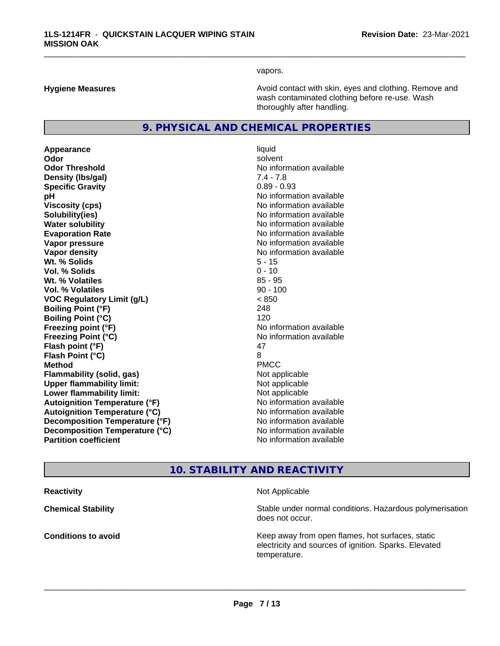vapors.

\_\_\_\_\_\_\_\_\_\_\_\_\_\_\_\_\_\_\_\_\_\_\_\_\_\_\_\_\_\_\_\_\_\_\_\_\_\_\_\_\_\_\_\_\_\_\_\_\_\_\_\_\_\_\_\_\_\_\_\_\_\_\_\_\_\_\_\_\_\_\_\_\_\_\_\_\_\_\_\_\_\_\_\_\_\_\_\_\_\_\_\_\_

**Hygiene Measures Avoid contact with skin, eyes and clothing. Remove and Avoid contact with skin, eyes and clothing. Remove and Avoid contact with skin, eyes and clothing. Remove and** wash contaminated clothing before re-use. Wash thoroughly after handling.

# **9. PHYSICAL AND CHEMICAL PROPERTIES**

**Appearance** liquid **Odor** solvent **Odor Threshold** No information available **Density (lbs/gal)** 7.4 - 7.8 **Specific Gravity** 0.89 - 0.93 **pH pH**  $\blacksquare$ **Viscosity (cps)** No information available **Solubility(ies)** No information available **Water solubility** No information available **Evaporation Rate Evaporation Rate No information available Vapor pressure** No information available in the North American Monte available in the North American available **Vapor density No information available No information available Wt. % Solids** 5 - 15 **Vol. % Solids** 0 - 10 **W<sub>t.</sub>** % Volatiles 85 - 95 **Vol. % Volatiles** 90 - 100 **VOC Regulatory Limit (g/L)** < 850 **Boiling Point (°F)** 248 **Boiling Point (°C)** 120 **Freezing point (°F)** No information available **Freezing Point (°C)** No information available **Flash point (°F)** 47 **Flash Point (°C)** 8 **Method** PMCC **Flammability (solid, gas)** Not applicable **Upper flammability limit:** Not applicable **Lower flammability limit:** Not applicable **Autoignition Temperature (°F)** No information available **Autoignition Temperature (°C)** No information available **Decomposition Temperature (°F)** No information available **Decomposition Temperature (°C)** No information available<br> **Partition coefficient Partition available** 

**No information available** 

# **10. STABILITY AND REACTIVITY**

**Reactivity Not Applicable Not Applicable Not Applicable** 

 $\overline{\phantom{a}}$  ,  $\overline{\phantom{a}}$  ,  $\overline{\phantom{a}}$  ,  $\overline{\phantom{a}}$  ,  $\overline{\phantom{a}}$  ,  $\overline{\phantom{a}}$  ,  $\overline{\phantom{a}}$  ,  $\overline{\phantom{a}}$  ,  $\overline{\phantom{a}}$  ,  $\overline{\phantom{a}}$  ,  $\overline{\phantom{a}}$  ,  $\overline{\phantom{a}}$  ,  $\overline{\phantom{a}}$  ,  $\overline{\phantom{a}}$  ,  $\overline{\phantom{a}}$  ,  $\overline{\phantom{a}}$ 

**Chemical Stability Chemical Stability** Stable under normal conditions. Hazardous polymerisation does not occur.

**Conditions to avoid Conditions to avoid Reseau All Static Reseau All Keep away from open flames, hot surfaces, static <b>Conditions** electricity and sources of ignition. Sparks. Elevated temperature.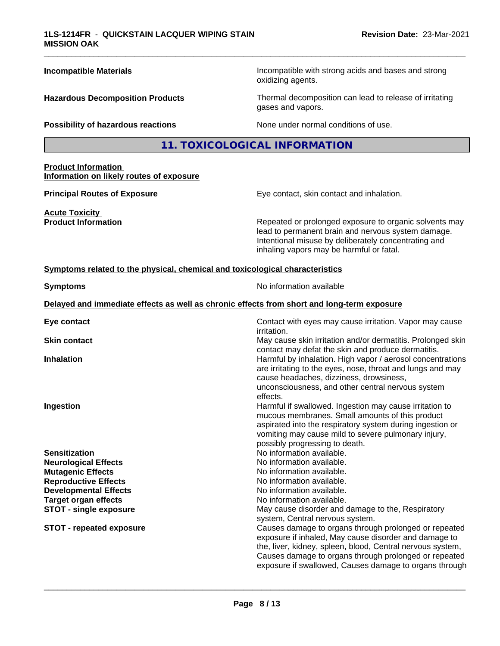| <b>Incompatible Materials</b>                                                   | Incompatible with strong acids and bases and strong<br>oxidizing agents.                                                                                                                                                                                                                        |
|---------------------------------------------------------------------------------|-------------------------------------------------------------------------------------------------------------------------------------------------------------------------------------------------------------------------------------------------------------------------------------------------|
| <b>Hazardous Decomposition Products</b>                                         | Thermal decomposition can lead to release of irritating<br>gases and vapors.                                                                                                                                                                                                                    |
| Possibility of hazardous reactions                                              | None under normal conditions of use.                                                                                                                                                                                                                                                            |
|                                                                                 | 11. TOXICOLOGICAL INFORMATION                                                                                                                                                                                                                                                                   |
| <b>Product Information</b><br>Information on likely routes of exposure          |                                                                                                                                                                                                                                                                                                 |
| <b>Principal Routes of Exposure</b>                                             | Eye contact, skin contact and inhalation.                                                                                                                                                                                                                                                       |
| <b>Acute Toxicity</b><br><b>Product Information</b>                             | Repeated or prolonged exposure to organic solvents may<br>lead to permanent brain and nervous system damage.<br>Intentional misuse by deliberately concentrating and<br>inhaling vapors may be harmful or fatal.                                                                                |
| Symptoms related to the physical, chemical and toxicological characteristics    |                                                                                                                                                                                                                                                                                                 |
| <b>Symptoms</b>                                                                 | No information available                                                                                                                                                                                                                                                                        |
|                                                                                 | Delayed and immediate effects as well as chronic effects from short and long-term exposure                                                                                                                                                                                                      |
| Eye contact                                                                     | Contact with eyes may cause irritation. Vapor may cause<br><i>irritation.</i>                                                                                                                                                                                                                   |
| <b>Skin contact</b>                                                             | May cause skin irritation and/or dermatitis. Prolonged skin<br>contact may defat the skin and produce dermatitis.                                                                                                                                                                               |
| <b>Inhalation</b>                                                               | Harmful by inhalation. High vapor / aerosol concentrations<br>are irritating to the eyes, nose, throat and lungs and may<br>cause headaches, dizziness, drowsiness,<br>unconsciousness, and other central nervous system<br>effects.                                                            |
| Ingestion                                                                       | Harmful if swallowed. Ingestion may cause irritation to<br>mucous membranes. Small amounts of this product<br>aspirated into the respiratory system during ingestion or<br>vomiting may cause mild to severe pulmonary injury,<br>possibly progressing to death.                                |
| <b>Sensitization</b><br><b>Neurological Effects</b><br><b>Mutagenic Effects</b> | No information available.<br>No information available.<br>No information available.                                                                                                                                                                                                             |
| <b>Reproductive Effects</b><br><b>Developmental Effects</b>                     | No information available.<br>No information available.                                                                                                                                                                                                                                          |
| <b>Target organ effects</b>                                                     | No information available.                                                                                                                                                                                                                                                                       |
| <b>STOT - single exposure</b>                                                   | May cause disorder and damage to the, Respiratory<br>system, Central nervous system.                                                                                                                                                                                                            |
| <b>STOT - repeated exposure</b>                                                 | Causes damage to organs through prolonged or repeated<br>exposure if inhaled, May cause disorder and damage to<br>the, liver, kidney, spleen, blood, Central nervous system,<br>Causes damage to organs through prolonged or repeated<br>exposure if swallowed, Causes damage to organs through |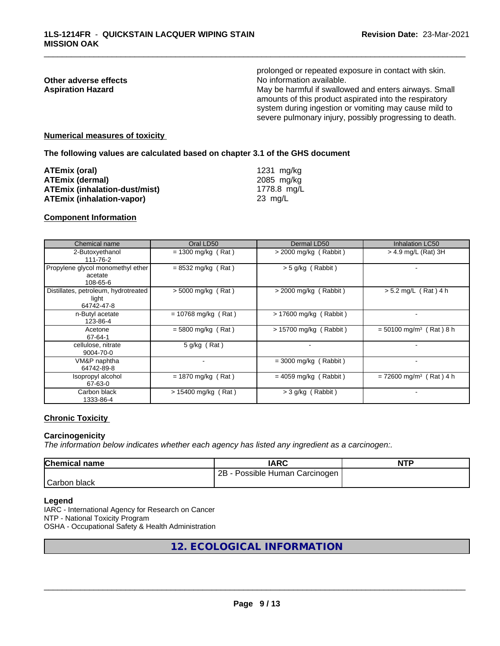|                          | prolonged or repeated exposure in contact with skin.                                                                                                                                                                                |
|--------------------------|-------------------------------------------------------------------------------------------------------------------------------------------------------------------------------------------------------------------------------------|
| Other adverse effects    | No information available.                                                                                                                                                                                                           |
| <b>Aspiration Hazard</b> | May be harmful if swallowed and enters airways. Small<br>amounts of this product aspirated into the respiratory<br>system during ingestion or vomiting may cause mild to<br>severe pulmonary injury, possibly progressing to death. |
|                          |                                                                                                                                                                                                                                     |

#### **Numerical measures of toxicity**

**The following values are calculated based on chapter 3.1 of the GHS document**

| ATEmix (oral)                        | 1231 mg/ka  |
|--------------------------------------|-------------|
| <b>ATEmix (dermal)</b>               | 2085 mg/kg  |
| <b>ATEmix (inhalation-dust/mist)</b> | 1778.8 mg/L |
| <b>ATEmix (inhalation-vapor)</b>     | 23 ma/L     |

#### **Component Information**

| Chemical name                                               | Oral LD50                | Dermal LD50             | <b>Inhalation LC50</b>                |
|-------------------------------------------------------------|--------------------------|-------------------------|---------------------------------------|
| 2-Butoxyethanol<br>111-76-2                                 | $= 1300$ mg/kg (Rat)     | $>$ 2000 mg/kg (Rabbit) | $>$ 4.9 mg/L (Rat) 3H                 |
| Propylene glycol monomethyl ether<br>acetate<br>108-65-6    | $= 8532$ mg/kg (Rat)     | $>$ 5 g/kg (Rabbit)     |                                       |
| Distillates, petroleum, hydrotreated<br>light<br>64742-47-8 | $> 5000$ mg/kg (Rat)     | $>$ 2000 mg/kg (Rabbit) | $> 5.2$ mg/L (Rat) 4 h                |
| n-Butyl acetate<br>123-86-4                                 | $= 10768$ mg/kg (Rat)    | > 17600 mg/kg (Rabbit)  |                                       |
| Acetone<br>67-64-1                                          | $= 5800$ mg/kg (Rat)     | > 15700 mg/kg (Rabbit)  | $= 50100$ mg/m <sup>3</sup> (Rat) 8 h |
| cellulose, nitrate<br>9004-70-0                             | $5$ g/kg (Rat)           | $\,$                    |                                       |
| VM&P naphtha<br>64742-89-8                                  | $\overline{\phantom{0}}$ | $=$ 3000 mg/kg (Rabbit) |                                       |
| Isopropyl alcohol<br>67-63-0                                | $= 1870$ mg/kg (Rat)     | $= 4059$ mg/kg (Rabbit) | $= 72600$ mg/m <sup>3</sup> (Rat) 4 h |
| Carbon black<br>1333-86-4                                   | $> 15400$ mg/kg (Rat)    | $>$ 3 g/kg (Rabbit)     |                                       |

#### **Chronic Toxicity**

#### **Carcinogenicity**

*The information below indicateswhether each agency has listed any ingredient as a carcinogen:.*

| <b>Chemical name</b> | IARC                            | <b>NTP</b> |
|----------------------|---------------------------------|------------|
|                      | 2B<br>Possible Human Carcinogen |            |
| Carbon<br>black      |                                 |            |

#### **Legend**

IARC - International Agency for Research on Cancer NTP - National Toxicity Program OSHA - Occupational Safety & Health Administration

# **12. ECOLOGICAL INFORMATION**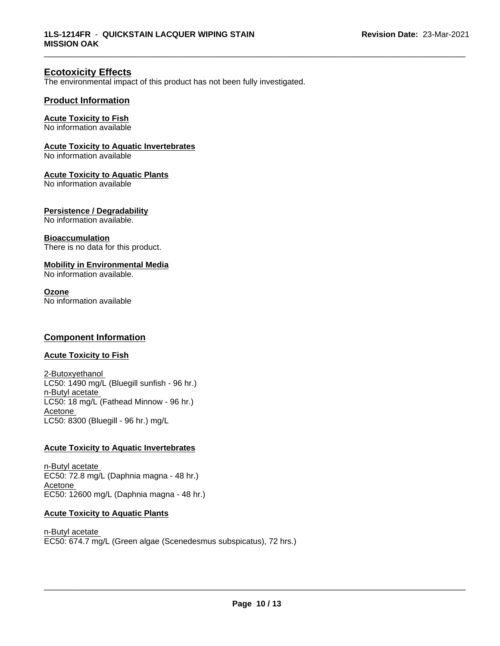# **Ecotoxicity Effects**

The environmental impact of this product has not been fully investigated.

### **Product Information**

### **Acute Toxicity to Fish**

No information available

#### **Acute Toxicity to Aquatic Invertebrates**

No information available

#### **Acute Toxicity to Aquatic Plants**

No information available

#### **Persistence / Degradability**

No information available.

#### **Bioaccumulation**

There is no data for this product.

### **Mobility in Environmental Media**

No information available.

#### **Ozone**

No information available

# **Component Information**

# **Acute Toxicity to Fish**

2-Butoxyethanol LC50: 1490 mg/L (Bluegill sunfish - 96 hr.) n-Butyl acetate LC50: 18 mg/L (Fathead Minnow - 96 hr.) Acetone LC50: 8300 (Bluegill - 96 hr.) mg/L

#### **Acute Toxicity to Aquatic Invertebrates**

n-Butyl acetate EC50: 72.8 mg/L (Daphnia magna - 48 hr.) Acetone EC50: 12600 mg/L (Daphnia magna - 48 hr.)

### **Acute Toxicity to Aquatic Plants**

n-Butyl acetate EC50: 674.7 mg/L (Green algae (Scenedesmus subspicatus), 72 hrs.)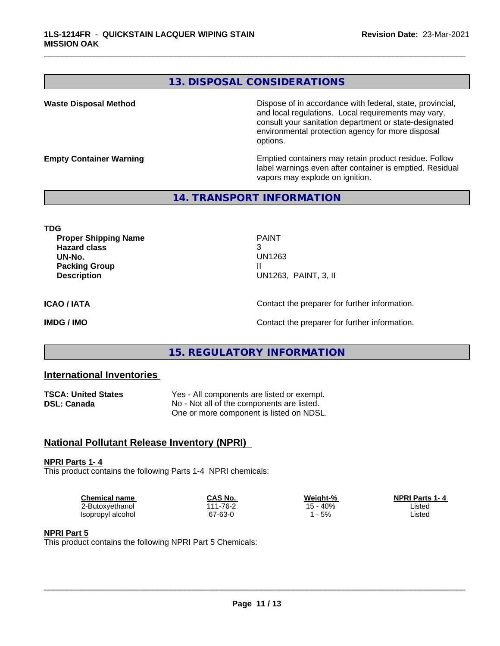# **13. DISPOSAL CONSIDERATIONS**

**Waste Disposal Method Dispose of in accordance with federal, state, provincial,** and local regulations. Local requirements may vary, consult your sanitation department or state-designated environmental protection agency for more disposal options.

**Empty Container Warning <b>Emptied** Containers may retain product residue. Follow label warnings even after container is emptied. Residual vapors may explode on ignition.

# **14. TRANSPORT INFORMATION**

**TDG Proper Shipping Name** PAINT **Hazard class** 3 **UN-No.** UN1263 **Packing Group III Description** UN1263, PAINT, 3, II

\_\_\_\_\_\_\_\_\_\_\_\_\_\_\_\_\_\_\_\_\_\_\_\_\_\_\_\_\_\_\_\_\_\_\_\_\_\_\_\_\_\_\_\_\_\_\_\_\_\_\_\_\_\_\_\_\_\_\_\_\_\_\_\_\_\_\_\_\_\_\_\_\_\_\_\_\_\_\_\_\_\_\_\_\_\_\_\_\_\_\_\_\_

**ICAO / IATA** Contact the preparer for further information.

**IMDG / IMO Contact the preparer for further information.** 

# **15. REGULATORY INFORMATION**

# **International Inventories**

| <b>TSCA: United States</b> | Yes - All components are listed or exempt. |
|----------------------------|--------------------------------------------|
| DSL: Canada                | No - Not all of the components are listed. |
|                            | One or more component is listed on NDSL.   |

# **National Pollutant Release Inventory (NPRI)**

**NPRI Parts 1- 4** This product contains the following Parts 1-4 NPRI chemicals:

| Chemical name     | CAS No.  | Weight-% | <b>NPRI Parts 1-4</b> |  |
|-------------------|----------|----------|-----------------------|--|
| 2-Butoxyethanol   | 111-76-2 | 15 - 40% | Listed                |  |
| Isopropyl alcohol | 67-63-0  | 5%       | Listed                |  |

#### **NPRI Part 5**

This product contains the following NPRI Part 5 Chemicals: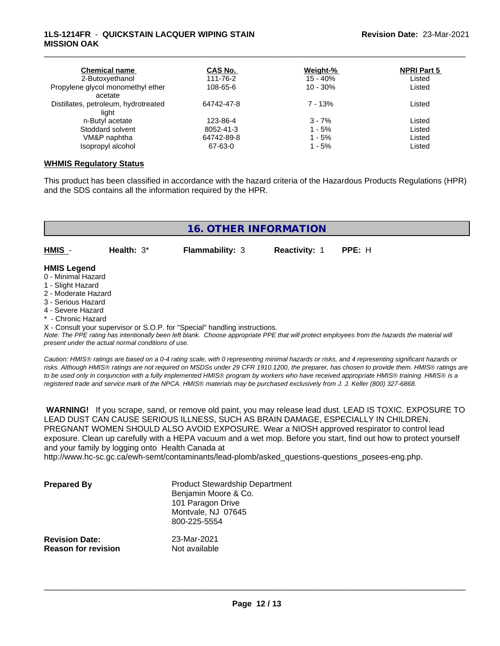### **1LS-1214FR** - **QUICKSTAIN LACQUER WIPING STAIN MISSION OAK**

| <b>Chemical name</b><br>2-Butoxyethanol | CAS No.<br>111-76-2 | Weight-%<br>$15 - 40%$ | <b>NPRI Part 5</b><br>Listed |
|-----------------------------------------|---------------------|------------------------|------------------------------|
| Propylene glycol monomethyl ether       | 108-65-6            | $10 - 30%$             | Listed                       |
| acetate                                 |                     |                        |                              |
| Distillates, petroleum, hydrotreated    | 64742-47-8          | $7 - 13%$              | Listed                       |
| light                                   |                     |                        |                              |
| n-Butyl acetate                         | 123-86-4            | $3 - 7%$               | Listed                       |
| Stoddard solvent                        | 8052-41-3           | $1 - 5%$               | Listed                       |
| VM&P naphtha                            | 64742-89-8          | $1 - 5%$               | Listed                       |
| Isopropyl alcohol                       | 67-63-0             | $1 - 5%$               | Listed                       |

\_\_\_\_\_\_\_\_\_\_\_\_\_\_\_\_\_\_\_\_\_\_\_\_\_\_\_\_\_\_\_\_\_\_\_\_\_\_\_\_\_\_\_\_\_\_\_\_\_\_\_\_\_\_\_\_\_\_\_\_\_\_\_\_\_\_\_\_\_\_\_\_\_\_\_\_\_\_\_\_\_\_\_\_\_\_\_\_\_\_\_\_\_

#### **WHMIS Regulatory Status**

This product has been classified in accordance with the hazard criteria of the Hazardous Products Regulations (HPR) and the SDS contains all the information required by the HPR.

| <b>16. OTHER INFORMATION</b>              |               |                        |               |        |  |
|-------------------------------------------|---------------|------------------------|---------------|--------|--|
| HMIS -                                    | Health: $3^*$ | <b>Flammability: 3</b> | Reactivity: 1 | PPE: H |  |
| <b>HMIS Legend</b><br>0 - Minimal Hazard  |               |                        |               |        |  |
| 1 - Slight Hazard                         |               |                        |               |        |  |
| 2 - Moderate Hazard<br>3 - Serious Hazard |               |                        |               |        |  |

- 
- 4 Severe Hazard
- **Chronic Hazard**

X - Consult your supervisor or S.O.P. for "Special" handling instructions.

*Note: The PPE rating has intentionally been left blank. Choose appropriate PPE that will protect employees from the hazards the material will present under the actual normal conditions of use.*

*Caution: HMISÒ ratings are based on a 0-4 rating scale, with 0 representing minimal hazards or risks, and 4 representing significant hazards or risks. Although HMISÒ ratings are not required on MSDSs under 29 CFR 1910.1200, the preparer, has chosen to provide them. HMISÒ ratings are to be used only in conjunction with a fully implemented HMISÒ program by workers who have received appropriate HMISÒ training. HMISÒ is a registered trade and service mark of the NPCA. HMISÒ materials may be purchased exclusively from J. J. Keller (800) 327-6868.*

 **WARNING!** If you scrape, sand, or remove old paint, you may release lead dust. LEAD IS TOXIC. EXPOSURE TO LEAD DUST CAN CAUSE SERIOUS ILLNESS, SUCH AS BRAIN DAMAGE, ESPECIALLY IN CHILDREN. PREGNANT WOMEN SHOULD ALSO AVOID EXPOSURE. Wear a NIOSH approved respirator to control lead exposure. Clean up carefully with a HEPA vacuum and a wet mop. Before you start, find out how to protect yourself and your family by logging onto Health Canada at

http://www.hc-sc.gc.ca/ewh-semt/contaminants/lead-plomb/asked\_questions-questions\_posees-eng.php.

| <b>Prepared By</b>                                  | <b>Product Stewardship Department</b><br>Benjamin Moore & Co.<br>101 Paragon Drive<br>Montvale, NJ 07645<br>800-225-5554 |  |
|-----------------------------------------------------|--------------------------------------------------------------------------------------------------------------------------|--|
| <b>Revision Date:</b><br><b>Reason for revision</b> | 23-Mar-2021<br>Not available                                                                                             |  |